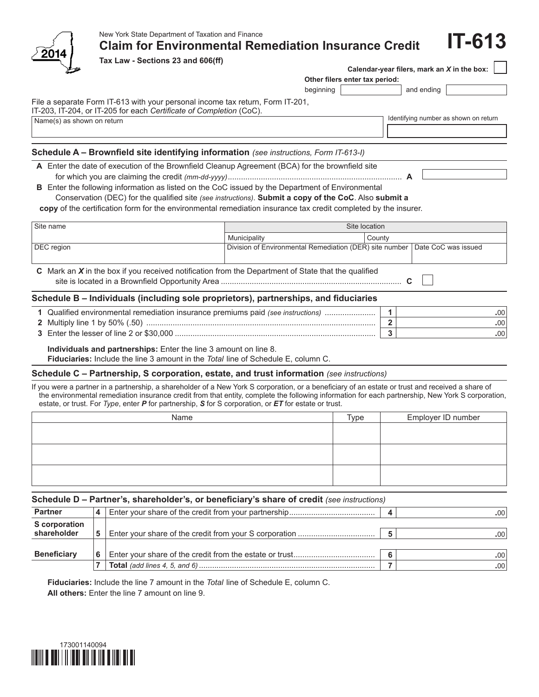

# New York State Department of Taxation and Finance

**Claim for Environmental Remediation Insurance Credit**

**Tax Law - Sections 23 and 606(ff)**

| Calendar-year filers, mark an $X$ in the box: $\vert$ |  |
|-------------------------------------------------------|--|
| Other filers enter tax period:                        |  |

beginning and ending

**IT-613**

File a separate Form IT-613 with your personal income tax return, Form IT-201,

Name(s) as shown on return in the state of the state of the state of the state of the state of the state of the state of the state of the state of the state of the state of the state of the state of the state of the state IT-203, IT-204, or IT-205 for each *Certificate of Completion* (CoC).

## **Schedule A – Brownfield site identifying information** *(see instructions, Form IT-613-I)*

**A** Enter the date of execution of the Brownfield Cleanup Agreement (BCA) for the brownfield site for which you are claiming the credit *(mm-dd-yyyy)*............................................................................... **A**

**B** Enter the following information as listed on the CoC issued by the Department of Environmental

 Conservation (DEC) for the qualified site *(see instructions)*. **Submit a copy of the CoC**. Also **submit a** 

**copy** of the certification form for the environmental remediation insurance tax credit completed by the insurer.

| Site name                                                                                             | Site location                                                               |        |  |  |  |  |
|-------------------------------------------------------------------------------------------------------|-----------------------------------------------------------------------------|--------|--|--|--|--|
|                                                                                                       | Municipality                                                                | County |  |  |  |  |
| DEC region                                                                                            | Division of Environmental Remediation (DER) site number Date CoC was issued |        |  |  |  |  |
| C Mark an $X$ in the box if you received notification from the Department of State that the qualified |                                                                             |        |  |  |  |  |

### **Schedule B – Individuals (including sole proprietors), partnerships, and fiduciaries**

| Qualified environmental remediation insurance premiums paid (see <i>instructions</i> ) | .00' |
|----------------------------------------------------------------------------------------|------|
| <b>2</b> Multiply line 1 by 50% (.50)                                                  | .00' |
| 3 Enter the lesser of line 2 or \$30,000                                               | .00' |

**Individuals and partnerships:** Enter the line 3 amount on line 8.

**Fiduciaries:** Include the line 3 amount in the *Total* line of Schedule E, column C.

#### **Schedule C – Partnership, S corporation, estate, and trust information** *(see instructions)*

If you were a partner in a partnership, a shareholder of a New York S corporation, or a beneficiary of an estate or trust and received a share of the environmental remediation insurance credit from that entity, complete the following information for each partnership, New York S corporation, estate, or trust. For *Type*, enter *P* for partnership, *S* for S corporation, or *ET* for estate or trust.

| Name | $\tau_{\text{ype}}$ | Employer ID number |
|------|---------------------|--------------------|
|      |                     |                    |
|      |                     |                    |
|      |                     |                    |
|      |                     |                    |
|      |                     |                    |
|      |                     |                    |

#### **Schedule D – Partner's, shareholder's, or beneficiary's share of credit** *(see instructions)*

| <b>Partner</b>       | 4 |  | .00' |
|----------------------|---|--|------|
| <b>S</b> corporation |   |  |      |
| shareholder          | 5 |  | .00' |
|                      |   |  |      |
| <b>Beneficiary</b>   | 6 |  |      |
|                      |   |  | .00' |

**Fiduciaries:** Include the line 7 amount in the *Total* line of Schedule E, column C. **All others:** Enter the line 7 amount on line 9.